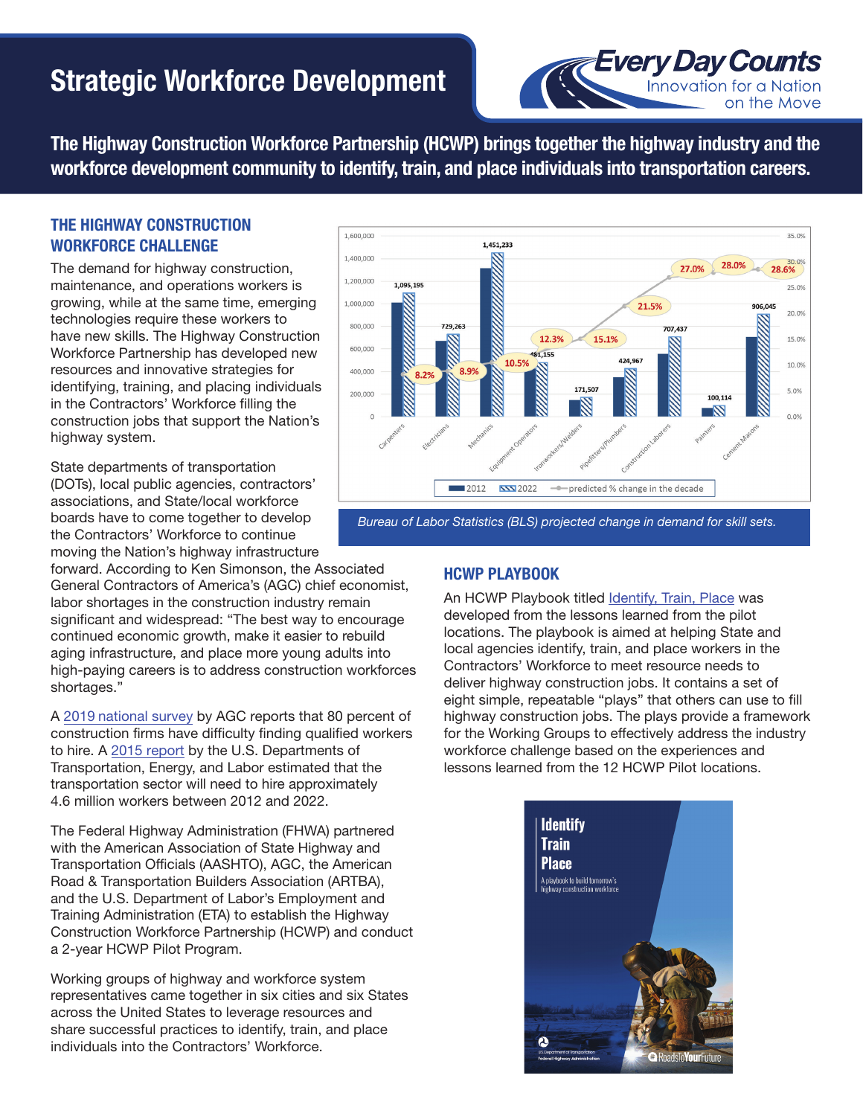# Strategic Workforce Development



The Highway Construction Workforce Partnership (HCWP) brings together the highway industry and the workforce development community to identify, train, and place individuals into transportation careers.

# THE HIGHWAY CONSTRUCTION WORKFORCE CHALLENGE

The demand for highway construction, maintenance, and operations workers is growing, while at the same time, emerging technologies require these workers to have new skills. The Highway Construction Workforce Partnership has developed new resources and innovative strategies for identifying, training, and placing individuals in the Contractors' Workforce filling the construction jobs that support the Nation's highway system.

State departments of transportation (DOTs), local public agencies, contractors' associations, and State/local workforce boards have to come together to develop the Contractors' Workforce to continue moving the Nation's highway infrastructure

forward. According to Ken Simonson, the Associated General Contractors of America's (AGC) chief economist, labor shortages in the construction industry remain significant and widespread: "The best way to encourage continued economic growth, make it easier to rebuild aging infrastructure, and place more young adults into high-paying careers is to address construction workforces shortages."

A 2019 [national survey](https://www.agc.org/sites/default/files/WorkforceDevelopment_2019_National_Final.pdf) by AGC reports that 80 percent of construction firms have difficulty finding qualified workers to hire. A [2015 report](https://s3.amazonaws.com/PCRN/docs/Strengthening_Skills_Training_and_Career_Pathways_Across_Transportation_Industry_Data_Report.pdf) by the U.S. Departments of Transportation, Energy, and Labor estimated that the transportation sector will need to hire approximately 4.6 million workers between 2012 and 2022.

The Federal Highway Administration (FHWA) partnered with the American Association of State Highway and Transportation Officials (AASHTO), AGC, the American Road & Transportation Builders Association (ARTBA), and the U.S. Department of Labor's Employment and Training Administration (ETA) to establish the Highway Construction Workforce Partnership (HCWP) and conduct a 2-year HCWP Pilot Program.

Working groups of highway and workforce system representatives came together in six cities and six States across the United States to leverage resources and share successful practices to identify, train, and place individuals into the Contractors' Workforce.



*Bureau of Labor Statistics (BLS) projected change in demand for skill sets.*

# HCWP PLAYBOOK

An HCWP Playbook titled [Identify, Train, Place](https://www.fhwa.dot.gov/innovativeprograms/centers/workforce_dev/hcwp/playbook_and_products/default.aspx) was developed from the lessons learned from the pilot locations. The playbook is aimed at helping State and local agencies identify, train, and place workers in the Contractors' Workforce to meet resource needs to deliver highway construction jobs. It contains a set of eight simple, repeatable "plays" that others can use to fill highway construction jobs. The plays provide a framework for the Working Groups to effectively address the industry workforce challenge based on the experiences and lessons learned from the 12 HCWP Pilot locations.